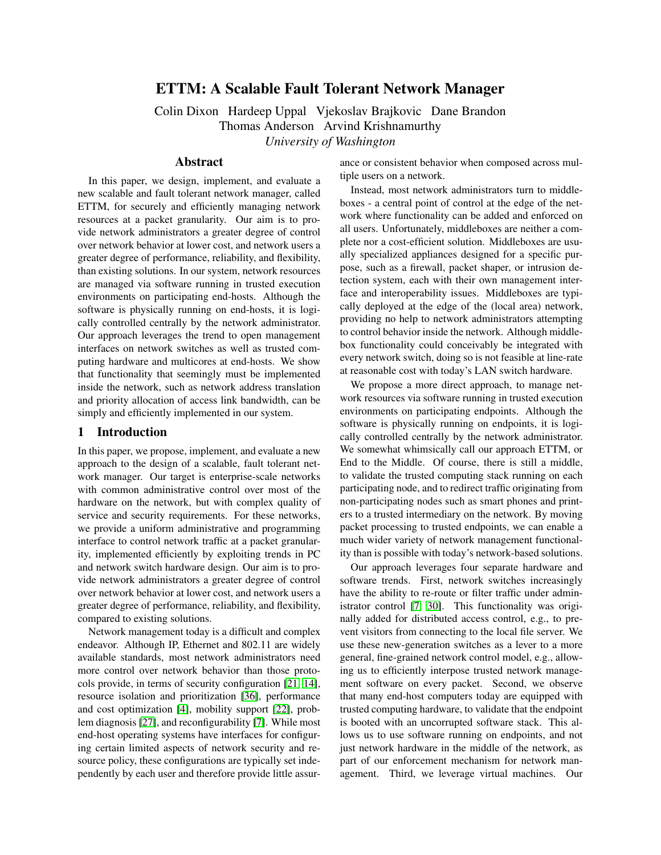# ETTM: A Scalable Fault Tolerant Network Manager

Colin Dixon Hardeep Uppal Vjekoslav Brajkovic Dane Brandon Thomas Anderson Arvind Krishnamurthy *University of Washington*

# Abstract

In this paper, we design, implement, and evaluate a new scalable and fault tolerant network manager, called ETTM, for securely and efficiently managing network resources at a packet granularity. Our aim is to provide network administrators a greater degree of control over network behavior at lower cost, and network users a greater degree of performance, reliability, and flexibility, than existing solutions. In our system, network resources are managed via software running in trusted execution environments on participating end-hosts. Although the software is physically running on end-hosts, it is logically controlled centrally by the network administrator. Our approach leverages the trend to open management interfaces on network switches as well as trusted computing hardware and multicores at end-hosts. We show that functionality that seemingly must be implemented inside the network, such as network address translation and priority allocation of access link bandwidth, can be simply and efficiently implemented in our system.

# 1 Introduction

In this paper, we propose, implement, and evaluate a new approach to the design of a scalable, fault tolerant network manager. Our target is enterprise-scale networks with common administrative control over most of the hardware on the network, but with complex quality of service and security requirements. For these networks, we provide a uniform administrative and programming interface to control network traffic at a packet granularity, implemented efficiently by exploiting trends in PC and network switch hardware design. Our aim is to provide network administrators a greater degree of control over network behavior at lower cost, and network users a greater degree of performance, reliability, and flexibility, compared to existing solutions.

Network management today is a difficult and complex endeavor. Although IP, Ethernet and 802.11 are widely available standards, most network administrators need more control over network behavior than those protocols provide, in terms of security configuration [\[21,](#page-13-0) [14\]](#page-13-1), resource isolation and prioritization [\[36\]](#page-13-2), performance and cost optimization [\[4\]](#page-13-3), mobility support [\[22\]](#page-13-4), problem diagnosis [\[27\]](#page-13-5), and reconfigurability [\[7\]](#page-13-6). While most end-host operating systems have interfaces for configuring certain limited aspects of network security and resource policy, these configurations are typically set independently by each user and therefore provide little assurance or consistent behavior when composed across multiple users on a network.

Instead, most network administrators turn to middleboxes - a central point of control at the edge of the network where functionality can be added and enforced on all users. Unfortunately, middleboxes are neither a complete nor a cost-efficient solution. Middleboxes are usually specialized appliances designed for a specific purpose, such as a firewall, packet shaper, or intrusion detection system, each with their own management interface and interoperability issues. Middleboxes are typically deployed at the edge of the (local area) network, providing no help to network administrators attempting to control behavior inside the network. Although middlebox functionality could conceivably be integrated with every network switch, doing so is not feasible at line-rate at reasonable cost with today's LAN switch hardware.

We propose a more direct approach, to manage network resources via software running in trusted execution environments on participating endpoints. Although the software is physically running on endpoints, it is logically controlled centrally by the network administrator. We somewhat whimsically call our approach ETTM, or End to the Middle. Of course, there is still a middle, to validate the trusted computing stack running on each participating node, and to redirect traffic originating from non-participating nodes such as smart phones and printers to a trusted intermediary on the network. By moving packet processing to trusted endpoints, we can enable a much wider variety of network management functionality than is possible with today's network-based solutions.

Our approach leverages four separate hardware and software trends. First, network switches increasingly have the ability to re-route or filter traffic under administrator control [\[7,](#page-13-6) [30\]](#page-13-7). This functionality was originally added for distributed access control, e.g., to prevent visitors from connecting to the local file server. We use these new-generation switches as a lever to a more general, fine-grained network control model, e.g., allowing us to efficiently interpose trusted network management software on every packet. Second, we observe that many end-host computers today are equipped with trusted computing hardware, to validate that the endpoint is booted with an uncorrupted software stack. This allows us to use software running on endpoints, and not just network hardware in the middle of the network, as part of our enforcement mechanism for network management. Third, we leverage virtual machines. Our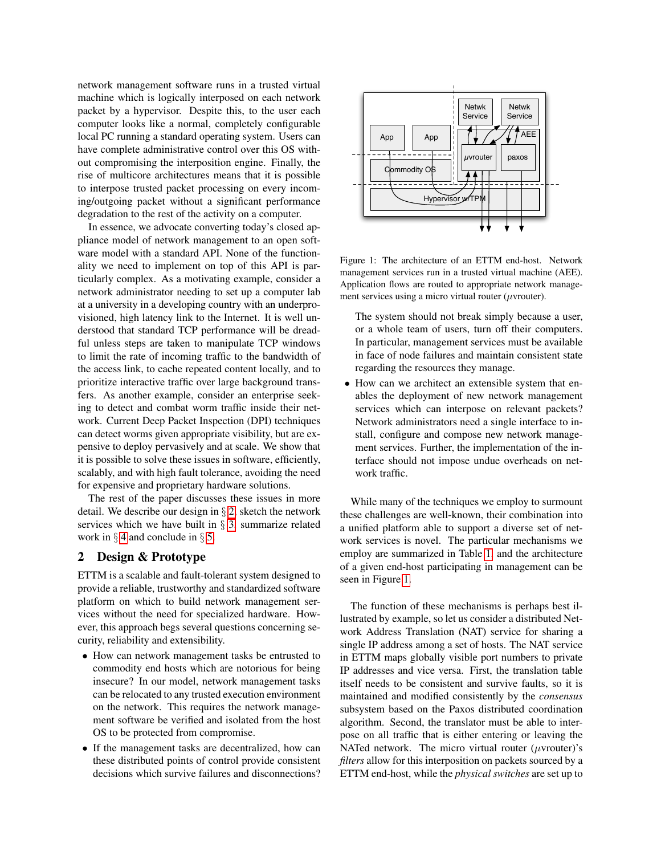network management software runs in a trusted virtual machine which is logically interposed on each network packet by a hypervisor. Despite this, to the user each computer looks like a normal, completely configurable local PC running a standard operating system. Users can have complete administrative control over this OS without compromising the interposition engine. Finally, the rise of multicore architectures means that it is possible to interpose trusted packet processing on every incoming/outgoing packet without a significant performance degradation to the rest of the activity on a computer.

In essence, we advocate converting today's closed appliance model of network management to an open software model with a standard API. None of the functionality we need to implement on top of this API is particularly complex. As a motivating example, consider a network administrator needing to set up a computer lab at a university in a developing country with an underprovisioned, high latency link to the Internet. It is well understood that standard TCP performance will be dreadful unless steps are taken to manipulate TCP windows to limit the rate of incoming traffic to the bandwidth of the access link, to cache repeated content locally, and to prioritize interactive traffic over large background transfers. As another example, consider an enterprise seeking to detect and combat worm traffic inside their network. Current Deep Packet Inspection (DPI) techniques can detect worms given appropriate visibility, but are expensive to deploy pervasively and at scale. We show that it is possible to solve these issues in software, efficiently, scalably, and with high fault tolerance, avoiding the need for expensive and proprietary hardware solutions.

The rest of the paper discusses these issues in more detail. We describe our design in § [2,](#page-1-0) sketch the network services which we have built in  $\S$  [3,](#page-8-0) summarize related work in  $\S$  [4](#page-12-0) and conclude in  $\S$  [5.](#page-12-1)

# <span id="page-1-0"></span>2 Design & Prototype

ETTM is a scalable and fault-tolerant system designed to provide a reliable, trustworthy and standardized software platform on which to build network management services without the need for specialized hardware. However, this approach begs several questions concerning security, reliability and extensibility.

- How can network management tasks be entrusted to commodity end hosts which are notorious for being insecure? In our model, network management tasks can be relocated to any trusted execution environment on the network. This requires the network management software be verified and isolated from the host OS to be protected from compromise.
- If the management tasks are decentralized, how can these distributed points of control provide consistent decisions which survive failures and disconnections?



<span id="page-1-1"></span>Figure 1: The architecture of an ETTM end-host. Network management services run in a trusted virtual machine (AEE). Application flows are routed to appropriate network management services using a micro virtual router ( $\mu$ vrouter).

The system should not break simply because a user, or a whole team of users, turn off their computers. In particular, management services must be available in face of node failures and maintain consistent state regarding the resources they manage.

• How can we architect an extensible system that enables the deployment of new network management services which can interpose on relevant packets? Network administrators need a single interface to install, configure and compose new network management services. Further, the implementation of the interface should not impose undue overheads on network traffic.

While many of the techniques we employ to surmount these challenges are well-known, their combination into a unified platform able to support a diverse set of network services is novel. The particular mechanisms we employ are summarized in Table [1,](#page-2-0) and the architecture of a given end-host participating in management can be seen in Figure [1.](#page-1-1)

The function of these mechanisms is perhaps best illustrated by example, so let us consider a distributed Network Address Translation (NAT) service for sharing a single IP address among a set of hosts. The NAT service in ETTM maps globally visible port numbers to private IP addresses and vice versa. First, the translation table itself needs to be consistent and survive faults, so it is maintained and modified consistently by the *consensus* subsystem based on the Paxos distributed coordination algorithm. Second, the translator must be able to interpose on all traffic that is either entering or leaving the NATed network. The micro virtual router ( $\mu$ vrouter)'s *filters* allow for this interposition on packets sourced by a ETTM end-host, while the *physical switches* are set up to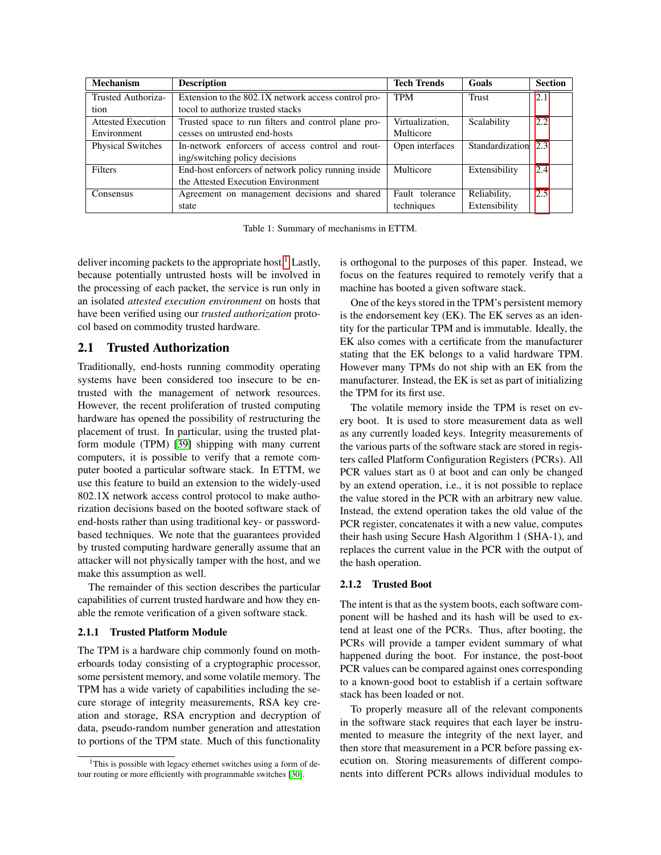| <b>Mechanism</b>          | <b>Description</b>                                                | <b>Tech Trends</b> | Goals           | <b>Section</b> |
|---------------------------|-------------------------------------------------------------------|--------------------|-----------------|----------------|
| Trusted Authoriza-        | Extension to the 802.1X network access control pro-<br><b>TPM</b> |                    | Trust           | 2.1            |
| tion                      | tocol to authorize trusted stacks                                 |                    |                 |                |
| <b>Attested Execution</b> | Trusted space to run filters and control plane pro-               | Virtualization,    | Scalability     | 2.2            |
| Environment               | cesses on untrusted end-hosts                                     | Multicore          |                 |                |
| <b>Physical Switches</b>  | In-network enforcers of access control and rout-                  | Open interfaces    | Standardization | 2.3            |
|                           | ing/switching policy decisions                                    |                    |                 |                |
| <b>Filters</b>            | End-host enforcers of network policy running inside               | Multicore          | Extensibility   | 2.4            |
|                           | the Attested Execution Environment                                |                    |                 |                |
| Consensus                 | Agreement on management decisions and shared                      | Fault tolerance    | Reliability,    | 2.5            |
|                           | state                                                             | techniques         | Extensibility   |                |

<span id="page-2-0"></span>Table 1: Summary of mechanisms in ETTM.

deliver incoming packets to the appropriate host.<sup>[1](#page-2-2)</sup> Lastly, because potentially untrusted hosts will be involved in the processing of each packet, the service is run only in an isolated *attested execution environment* on hosts that have been verified using our *trusted authorization* protocol based on commodity trusted hardware.

# <span id="page-2-1"></span>2.1 Trusted Authorization

Traditionally, end-hosts running commodity operating systems have been considered too insecure to be entrusted with the management of network resources. However, the recent proliferation of trusted computing hardware has opened the possibility of restructuring the placement of trust. In particular, using the trusted platform module (TPM) [\[39\]](#page-13-8) shipping with many current computers, it is possible to verify that a remote computer booted a particular software stack. In ETTM, we use this feature to build an extension to the widely-used 802.1X network access control protocol to make authorization decisions based on the booted software stack of end-hosts rather than using traditional key- or passwordbased techniques. We note that the guarantees provided by trusted computing hardware generally assume that an attacker will not physically tamper with the host, and we make this assumption as well.

The remainder of this section describes the particular capabilities of current trusted hardware and how they enable the remote verification of a given software stack.

#### 2.1.1 Trusted Platform Module

The TPM is a hardware chip commonly found on motherboards today consisting of a cryptographic processor, some persistent memory, and some volatile memory. The TPM has a wide variety of capabilities including the secure storage of integrity measurements, RSA key creation and storage, RSA encryption and decryption of data, pseudo-random number generation and attestation to portions of the TPM state. Much of this functionality is orthogonal to the purposes of this paper. Instead, we focus on the features required to remotely verify that a machine has booted a given software stack.

One of the keys stored in the TPM's persistent memory is the endorsement key (EK). The EK serves as an identity for the particular TPM and is immutable. Ideally, the EK also comes with a certificate from the manufacturer stating that the EK belongs to a valid hardware TPM. However many TPMs do not ship with an EK from the manufacturer. Instead, the EK is set as part of initializing the TPM for its first use.

The volatile memory inside the TPM is reset on every boot. It is used to store measurement data as well as any currently loaded keys. Integrity measurements of the various parts of the software stack are stored in registers called Platform Configuration Registers (PCRs). All PCR values start as 0 at boot and can only be changed by an extend operation, i.e., it is not possible to replace the value stored in the PCR with an arbitrary new value. Instead, the extend operation takes the old value of the PCR register, concatenates it with a new value, computes their hash using Secure Hash Algorithm 1 (SHA-1), and replaces the current value in the PCR with the output of the hash operation.

#### 2.1.2 Trusted Boot

The intent is that as the system boots, each software component will be hashed and its hash will be used to extend at least one of the PCRs. Thus, after booting, the PCRs will provide a tamper evident summary of what happened during the boot. For instance, the post-boot PCR values can be compared against ones corresponding to a known-good boot to establish if a certain software stack has been loaded or not.

To properly measure all of the relevant components in the software stack requires that each layer be instrumented to measure the integrity of the next layer, and then store that measurement in a PCR before passing execution on. Storing measurements of different components into different PCRs allows individual modules to

<span id="page-2-2"></span><sup>&</sup>lt;sup>1</sup>This is possible with legacy ethernet switches using a form of detour routing or more efficiently with programmable switches [\[30\]](#page-13-7).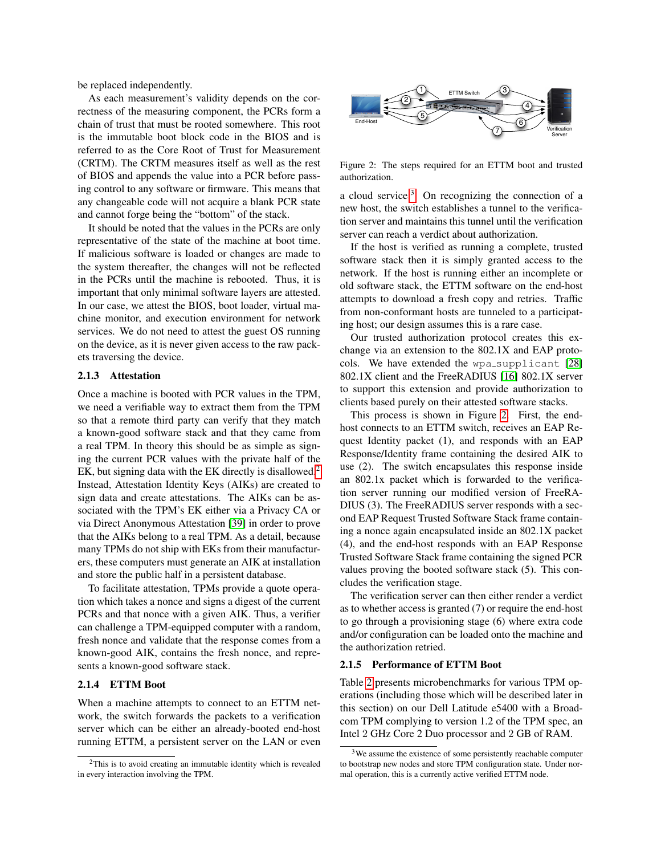be replaced independently.

As each measurement's validity depends on the correctness of the measuring component, the PCRs form a chain of trust that must be rooted somewhere. This root is the immutable boot block code in the BIOS and is referred to as the Core Root of Trust for Measurement (CRTM). The CRTM measures itself as well as the rest of BIOS and appends the value into a PCR before passing control to any software or firmware. This means that any changeable code will not acquire a blank PCR state and cannot forge being the "bottom" of the stack.

It should be noted that the values in the PCRs are only representative of the state of the machine at boot time. If malicious software is loaded or changes are made to the system thereafter, the changes will not be reflected in the PCRs until the machine is rebooted. Thus, it is important that only minimal software layers are attested. In our case, we attest the BIOS, boot loader, virtual machine monitor, and execution environment for network services. We do not need to attest the guest OS running on the device, as it is never given access to the raw packets traversing the device.

### 2.1.3 Attestation

Once a machine is booted with PCR values in the TPM, we need a verifiable way to extract them from the TPM so that a remote third party can verify that they match a known-good software stack and that they came from a real TPM. In theory this should be as simple as signing the current PCR values with the private half of the EK, but signing data with the EK directly is disallowed.<sup>[2](#page-3-0)</sup> Instead, Attestation Identity Keys (AIKs) are created to sign data and create attestations. The AIKs can be associated with the TPM's EK either via a Privacy CA or via Direct Anonymous Attestation [\[39\]](#page-13-8) in order to prove that the AIKs belong to a real TPM. As a detail, because many TPMs do not ship with EKs from their manufacturers, these computers must generate an AIK at installation and store the public half in a persistent database.

To facilitate attestation, TPMs provide a quote operation which takes a nonce and signs a digest of the current PCRs and that nonce with a given AIK. Thus, a verifier can challenge a TPM-equipped computer with a random, fresh nonce and validate that the response comes from a known-good AIK, contains the fresh nonce, and represents a known-good software stack.

#### 2.1.4 ETTM Boot

When a machine attempts to connect to an ETTM network, the switch forwards the packets to a verification server which can be either an already-booted end-host running ETTM, a persistent server on the LAN or even



<span id="page-3-2"></span>Figure 2: The steps required for an ETTM boot and trusted authorization.

a cloud service.[3](#page-3-1) On recognizing the connection of a new host, the switch establishes a tunnel to the verification server and maintains this tunnel until the verification server can reach a verdict about authorization.

If the host is verified as running a complete, trusted software stack then it is simply granted access to the network. If the host is running either an incomplete or old software stack, the ETTM software on the end-host attempts to download a fresh copy and retries. Traffic from non-conformant hosts are tunneled to a participating host; our design assumes this is a rare case.

Our trusted authorization protocol creates this exchange via an extension to the 802.1X and EAP proto-cols. We have extended the wpa\_supplicant [\[28\]](#page-13-9) 802.1X client and the FreeRADIUS [\[16\]](#page-13-10) 802.1X server to support this extension and provide authorization to clients based purely on their attested software stacks.

This process is shown in Figure [2.](#page-3-2) First, the endhost connects to an ETTM switch, receives an EAP Request Identity packet (1), and responds with an EAP Response/Identity frame containing the desired AIK to use (2). The switch encapsulates this response inside an 802.1x packet which is forwarded to the verification server running our modified version of FreeRA-DIUS (3). The FreeRADIUS server responds with a second EAP Request Trusted Software Stack frame containing a nonce again encapsulated inside an 802.1X packet (4), and the end-host responds with an EAP Response Trusted Software Stack frame containing the signed PCR values proving the booted software stack (5). This concludes the verification stage.

The verification server can then either render a verdict as to whether access is granted (7) or require the end-host to go through a provisioning stage (6) where extra code and/or configuration can be loaded onto the machine and the authorization retried.

#### 2.1.5 Performance of ETTM Boot

Table [2](#page-4-2) presents microbenchmarks for various TPM operations (including those which will be described later in this section) on our Dell Latitude e5400 with a Broadcom TPM complying to version 1.2 of the TPM spec, an Intel 2 GHz Core 2 Duo processor and 2 GB of RAM.

<span id="page-3-0"></span><sup>2</sup>This is to avoid creating an immutable identity which is revealed in every interaction involving the TPM.

<span id="page-3-1"></span> $3$ We assume the existence of some persistently reachable computer to bootstrap new nodes and store TPM configuration state. Under normal operation, this is a currently active verified ETTM node.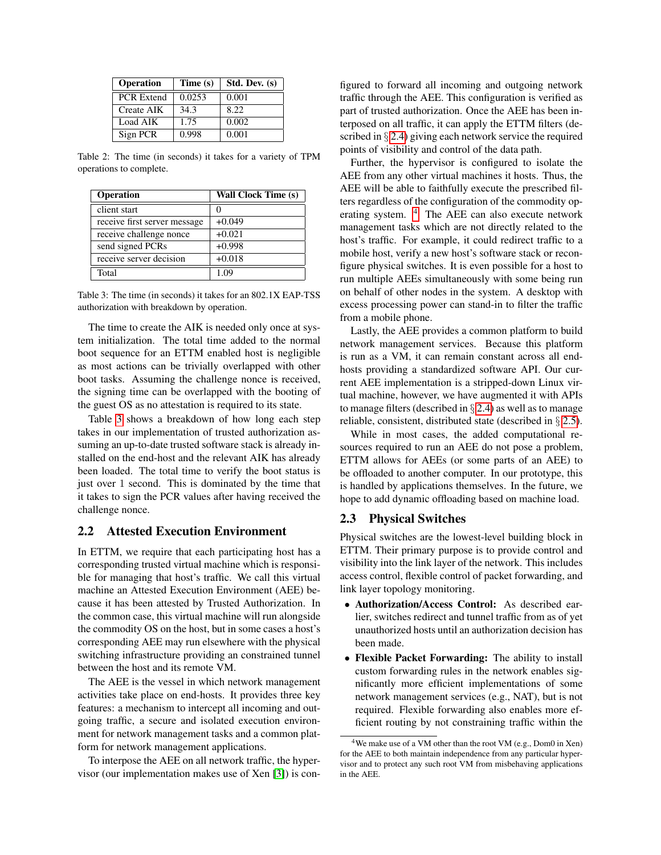| Operation         | Time (s) | Std. Dev. (s) |
|-------------------|----------|---------------|
| <b>PCR</b> Extend | 0.0253   | 0.001         |
| Create AIK        | 34.3     | 8.22          |
| Load AIK          | 1.75     | 0.002         |
| Sign PCR          | 0.998    | 0.001         |

<span id="page-4-2"></span>Table 2: The time (in seconds) it takes for a variety of TPM operations to complete.

| Operation                    | <b>Wall Clock Time (s)</b> |  |
|------------------------------|----------------------------|--|
| client start                 |                            |  |
| receive first server message | $+0.049$                   |  |
| receive challenge nonce      | $+0.021$                   |  |
| send signed PCRs             | $+0.998$                   |  |
| receive server decision      | $+0.018$                   |  |
| Total                        | 1.09                       |  |

<span id="page-4-3"></span>Table 3: The time (in seconds) it takes for an 802.1X EAP-TSS authorization with breakdown by operation.

The time to create the AIK is needed only once at system initialization. The total time added to the normal boot sequence for an ETTM enabled host is negligible as most actions can be trivially overlapped with other boot tasks. Assuming the challenge nonce is received, the signing time can be overlapped with the booting of the guest OS as no attestation is required to its state.

Table [3](#page-4-3) shows a breakdown of how long each step takes in our implementation of trusted authorization assuming an up-to-date trusted software stack is already installed on the end-host and the relevant AIK has already been loaded. The total time to verify the boot status is just over 1 second. This is dominated by the time that it takes to sign the PCR values after having received the challenge nonce.

### <span id="page-4-0"></span>2.2 Attested Execution Environment

In ETTM, we require that each participating host has a corresponding trusted virtual machine which is responsible for managing that host's traffic. We call this virtual machine an Attested Execution Environment (AEE) because it has been attested by Trusted Authorization. In the common case, this virtual machine will run alongside the commodity OS on the host, but in some cases a host's corresponding AEE may run elsewhere with the physical switching infrastructure providing an constrained tunnel between the host and its remote VM.

The AEE is the vessel in which network management activities take place on end-hosts. It provides three key features: a mechanism to intercept all incoming and outgoing traffic, a secure and isolated execution environment for network management tasks and a common platform for network management applications.

To interpose the AEE on all network traffic, the hypervisor (our implementation makes use of Xen [\[3\]](#page-13-11)) is configured to forward all incoming and outgoing network traffic through the AEE. This configuration is verified as part of trusted authorization. Once the AEE has been interposed on all traffic, it can apply the ETTM filters (described in § [2.4\)](#page-5-0) giving each network service the required points of visibility and control of the data path.

Further, the hypervisor is configured to isolate the AEE from any other virtual machines it hosts. Thus, the AEE will be able to faithfully execute the prescribed filters regardless of the configuration of the commodity op-erating system. <sup>[4](#page-4-4)</sup> The AEE can also execute network management tasks which are not directly related to the host's traffic. For example, it could redirect traffic to a mobile host, verify a new host's software stack or reconfigure physical switches. It is even possible for a host to run multiple AEEs simultaneously with some being run on behalf of other nodes in the system. A desktop with excess processing power can stand-in to filter the traffic from a mobile phone.

Lastly, the AEE provides a common platform to build network management services. Because this platform is run as a VM, it can remain constant across all endhosts providing a standardized software API. Our current AEE implementation is a stripped-down Linux virtual machine, however, we have augmented it with APIs to manage filters (described in  $\S 2.4$ ) as well as to manage reliable, consistent, distributed state (described in § [2.5\)](#page-5-1).

While in most cases, the added computational resources required to run an AEE do not pose a problem, ETTM allows for AEEs (or some parts of an AEE) to be offloaded to another computer. In our prototype, this is handled by applications themselves. In the future, we hope to add dynamic offloading based on machine load.

# <span id="page-4-1"></span>2.3 Physical Switches

Physical switches are the lowest-level building block in ETTM. Their primary purpose is to provide control and visibility into the link layer of the network. This includes access control, flexible control of packet forwarding, and link layer topology monitoring.

- Authorization/Access Control: As described earlier, switches redirect and tunnel traffic from as of yet unauthorized hosts until an authorization decision has been made.
- Flexible Packet Forwarding: The ability to install custom forwarding rules in the network enables significantly more efficient implementations of some network management services (e.g., NAT), but is not required. Flexible forwarding also enables more efficient routing by not constraining traffic within the

<span id="page-4-4"></span><sup>4</sup>We make use of a VM other than the root VM (e.g., Dom0 in Xen) for the AEE to both maintain independence from any particular hypervisor and to protect any such root VM from misbehaving applications in the AEE.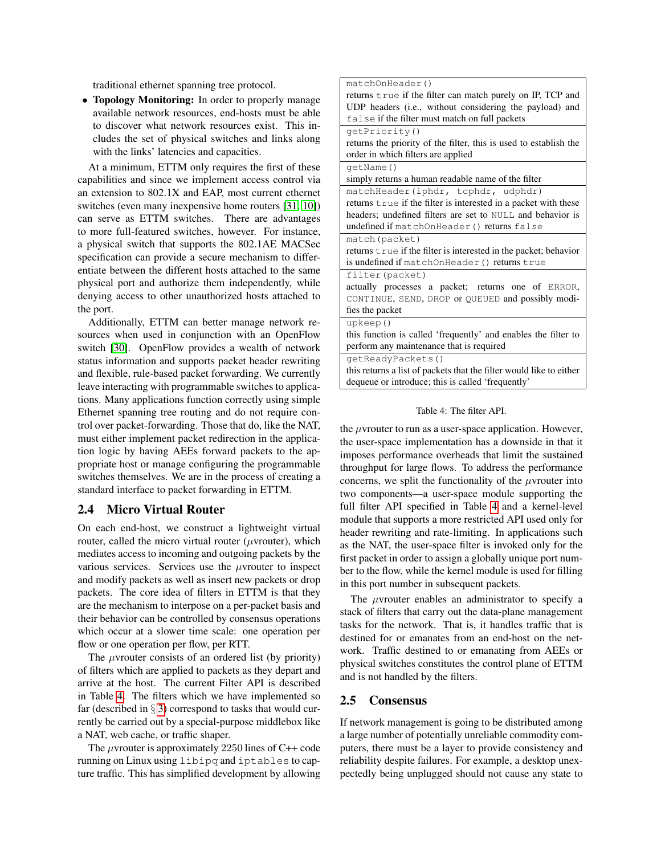traditional ethernet spanning tree protocol.

• Topology Monitoring: In order to properly manage available network resources, end-hosts must be able to discover what network resources exist. This includes the set of physical switches and links along with the links' latencies and capacities.

At a minimum, ETTM only requires the first of these capabilities and since we implement access control via an extension to 802.1X and EAP, most current ethernet switches (even many inexpensive home routers [\[31,](#page-13-12) [10\]](#page-13-13)) can serve as ETTM switches. There are advantages to more full-featured switches, however. For instance, a physical switch that supports the 802.1AE MACSec specification can provide a secure mechanism to differentiate between the different hosts attached to the same physical port and authorize them independently, while denying access to other unauthorized hosts attached to the port.

Additionally, ETTM can better manage network resources when used in conjunction with an OpenFlow switch [\[30\]](#page-13-7). OpenFlow provides a wealth of network status information and supports packet header rewriting and flexible, rule-based packet forwarding. We currently leave interacting with programmable switches to applications. Many applications function correctly using simple Ethernet spanning tree routing and do not require control over packet-forwarding. Those that do, like the NAT, must either implement packet redirection in the application logic by having AEEs forward packets to the appropriate host or manage configuring the programmable switches themselves. We are in the process of creating a standard interface to packet forwarding in ETTM.

### <span id="page-5-0"></span>2.4 Micro Virtual Router

On each end-host, we construct a lightweight virtual router, called the micro virtual router ( $\mu$ vrouter), which mediates access to incoming and outgoing packets by the various services. Services use the  $\mu$ vrouter to inspect and modify packets as well as insert new packets or drop packets. The core idea of filters in ETTM is that they are the mechanism to interpose on a per-packet basis and their behavior can be controlled by consensus operations which occur at a slower time scale: one operation per flow or one operation per flow, per RTT.

The  $\mu$  vrouter consists of an ordered list (by priority) of filters which are applied to packets as they depart and arrive at the host. The current Filter API is described in Table [4.](#page-5-2) The filters which we have implemented so far (described in  $\S$  [3\)](#page-8-0) correspond to tasks that would currently be carried out by a special-purpose middlebox like a NAT, web cache, or traffic shaper.

The  $\mu$ vrouter is approximately 2250 lines of C++ code running on Linux using libipq and iptables to capture traffic. This has simplified development by allowing

| matchOnHeader()                                                     |  |  |  |  |
|---------------------------------------------------------------------|--|--|--|--|
| returns true if the filter can match purely on IP, TCP and          |  |  |  |  |
| UDP headers ( <i>i.e.</i> , without considering the payload) and    |  |  |  |  |
| false if the filter must match on full packets                      |  |  |  |  |
| qetPriority()                                                       |  |  |  |  |
| returns the priority of the filter, this is used to establish the   |  |  |  |  |
| order in which filters are applied                                  |  |  |  |  |
| qetName()                                                           |  |  |  |  |
| simply returns a human readable name of the filter                  |  |  |  |  |
| matchHeader(iphdr, tcphdr, udphdr)                                  |  |  |  |  |
| returns true if the filter is interested in a packet with these     |  |  |  |  |
| headers; undefined filters are set to NULL and behavior is          |  |  |  |  |
| undefined if matchOnHeader () returns false                         |  |  |  |  |
| match (packet)                                                      |  |  |  |  |
| returns t rue if the filter is interested in the packet; behavior   |  |  |  |  |
| is undefined if matchOnHeader () returns true                       |  |  |  |  |
| filter (packet)                                                     |  |  |  |  |
| actually processes a packet; returns one of ERROR,                  |  |  |  |  |
| CONTINUE, SEND, DROP or QUEUED and possibly modi-                   |  |  |  |  |
| fies the packet                                                     |  |  |  |  |
| upkeep()                                                            |  |  |  |  |
| this function is called 'frequently' and enables the filter to      |  |  |  |  |
| perform any maintenance that is required                            |  |  |  |  |
| getReadyPackets()                                                   |  |  |  |  |
| this returns a list of packets that the filter would like to either |  |  |  |  |
| dequeue or introduce; this is called 'frequently'                   |  |  |  |  |

#### <span id="page-5-2"></span>Table 4: The filter API.

the *u*vrouter to run as a user-space application. However, the user-space implementation has a downside in that it imposes performance overheads that limit the sustained throughput for large flows. To address the performance concerns, we split the functionality of the  $\mu$ vrouter into two components—a user-space module supporting the full filter API specified in Table [4](#page-5-2) and a kernel-level module that supports a more restricted API used only for header rewriting and rate-limiting. In applications such as the NAT, the user-space filter is invoked only for the first packet in order to assign a globally unique port number to the flow, while the kernel module is used for filling in this port number in subsequent packets.

The  $\mu$  vrouter enables an administrator to specify a stack of filters that carry out the data-plane management tasks for the network. That is, it handles traffic that is destined for or emanates from an end-host on the network. Traffic destined to or emanating from AEEs or physical switches constitutes the control plane of ETTM and is not handled by the filters.

## <span id="page-5-1"></span>2.5 Consensus

If network management is going to be distributed among a large number of potentially unreliable commodity computers, there must be a layer to provide consistency and reliability despite failures. For example, a desktop unexpectedly being unplugged should not cause any state to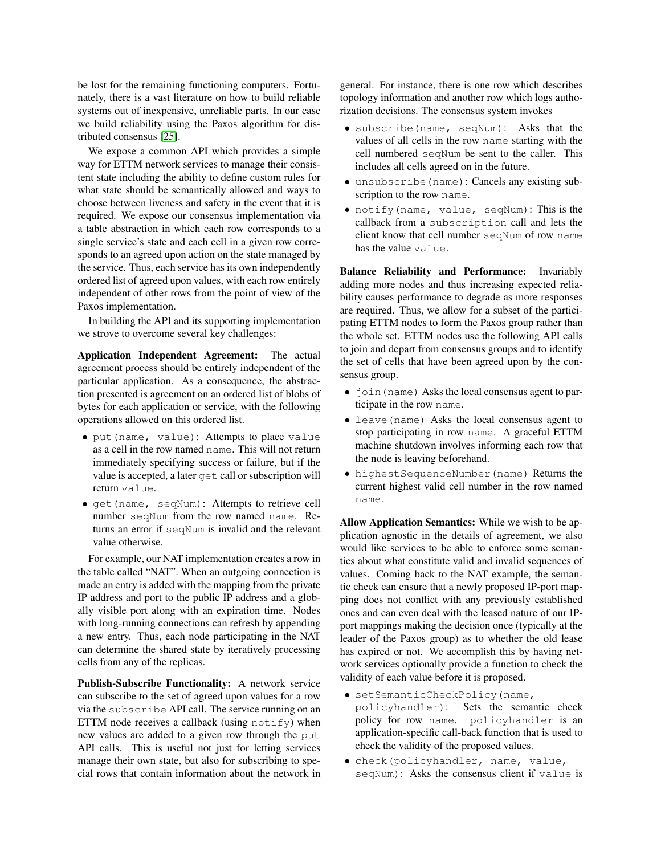be lost for the remaining functioning computers. Fortunately, there is a vast literature on how to build reliable systems out of inexpensive, unreliable parts. In our case we build reliability using the Paxos algorithm for distributed consensus [\[25\]](#page-13-14).

We expose a common API which provides a simple way for ETTM network services to manage their consistent state including the ability to define custom rules for what state should be semantically allowed and ways to choose between liveness and safety in the event that it is required. We expose our consensus implementation via a table abstraction in which each row corresponds to a single service's state and each cell in a given row corresponds to an agreed upon action on the state managed by the service. Thus, each service has its own independently ordered list of agreed upon values, with each row entirely independent of other rows from the point of view of the Paxos implementation.

In building the API and its supporting implementation we strove to overcome several key challenges:

Application Independent Agreement: The actual agreement process should be entirely independent of the particular application. As a consequence, the abstraction presented is agreement on an ordered list of blobs of bytes for each application or service, with the following operations allowed on this ordered list.

- put(name, value): Attempts to place value as a cell in the row named name. This will not return immediately specifying success or failure, but if the value is accepted, a later get call or subscription will return value.
- get(name, seqNum): Attempts to retrieve cell number seqNum from the row named name. Returns an error if seqNum is invalid and the relevant value otherwise.

For example, our NAT implementation creates a row in the table called "NAT". When an outgoing connection is made an entry is added with the mapping from the private IP address and port to the public IP address and a globally visible port along with an expiration time. Nodes with long-running connections can refresh by appending a new entry. Thus, each node participating in the NAT can determine the shared state by iteratively processing cells from any of the replicas.

Publish-Subscribe Functionality: A network service can subscribe to the set of agreed upon values for a row via the subscribe API call. The service running on an ETTM node receives a callback (using  $notify)$  when new values are added to a given row through the put API calls. This is useful not just for letting services manage their own state, but also for subscribing to special rows that contain information about the network in general. For instance, there is one row which describes topology information and another row which logs authorization decisions. The consensus system invokes

- subscribe(name, seqNum): Asks that the values of all cells in the row name starting with the cell numbered seqNum be sent to the caller. This includes all cells agreed on in the future.
- unsubscribe(name): Cancels any existing subscription to the row name.
- notify(name, value, seqNum): This is the callback from a subscription call and lets the client know that cell number seqNum of row name has the value value.

Balance Reliability and Performance: Invariably adding more nodes and thus increasing expected reliability causes performance to degrade as more responses are required. Thus, we allow for a subset of the participating ETTM nodes to form the Paxos group rather than the whole set. ETTM nodes use the following API calls to join and depart from consensus groups and to identify the set of cells that have been agreed upon by the consensus group.

- join(name) Asks the local consensus agent to participate in the row name.
- leave(name) Asks the local consensus agent to stop participating in row name. A graceful ETTM machine shutdown involves informing each row that the node is leaving beforehand.
- highestSequenceNumber(name) Returns the current highest valid cell number in the row named name.

Allow Application Semantics: While we wish to be application agnostic in the details of agreement, we also would like services to be able to enforce some semantics about what constitute valid and invalid sequences of values. Coming back to the NAT example, the semantic check can ensure that a newly proposed IP-port mapping does not conflict with any previously established ones and can even deal with the leased nature of our IPport mappings making the decision once (typically at the leader of the Paxos group) as to whether the old lease has expired or not. We accomplish this by having network services optionally provide a function to check the validity of each value before it is proposed.

- setSemanticCheckPolicy(name, policyhandler): Sets the semantic check policy for row name. policyhandler is an application-specific call-back function that is used to check the validity of the proposed values.
- check(policyhandler, name, value, seqNum): Asks the consensus client if value is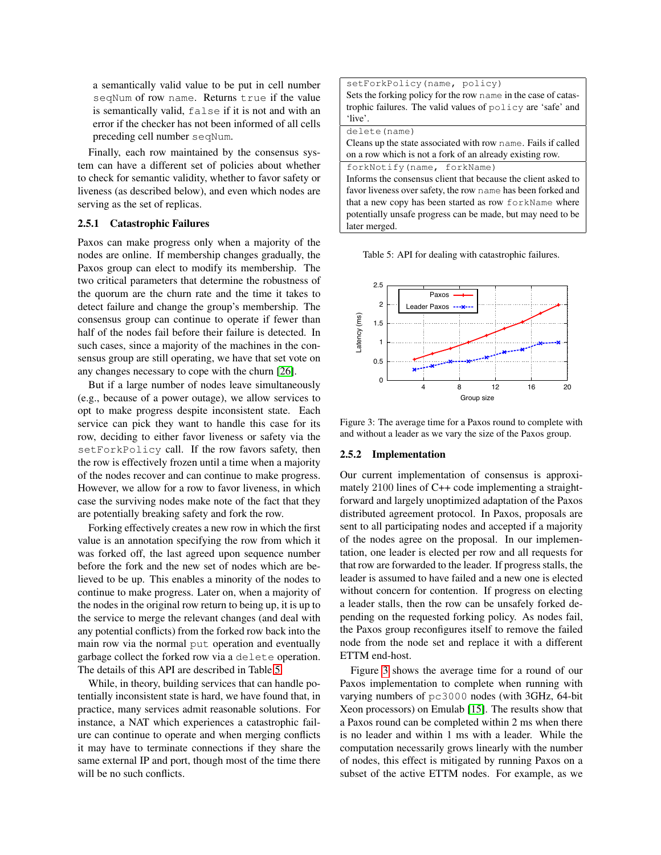a semantically valid value to be put in cell number seqNum of row name. Returns true if the value is semantically valid, false if it is not and with an error if the checker has not been informed of all cells preceding cell number seqNum.

Finally, each row maintained by the consensus system can have a different set of policies about whether to check for semantic validity, whether to favor safety or liveness (as described below), and even which nodes are serving as the set of replicas.

### 2.5.1 Catastrophic Failures

Paxos can make progress only when a majority of the nodes are online. If membership changes gradually, the Paxos group can elect to modify its membership. The two critical parameters that determine the robustness of the quorum are the churn rate and the time it takes to detect failure and change the group's membership. The consensus group can continue to operate if fewer than half of the nodes fail before their failure is detected. In such cases, since a majority of the machines in the consensus group are still operating, we have that set vote on any changes necessary to cope with the churn [\[26\]](#page-13-15).

But if a large number of nodes leave simultaneously (e.g., because of a power outage), we allow services to opt to make progress despite inconsistent state. Each service can pick they want to handle this case for its row, deciding to either favor liveness or safety via the setForkPolicy call. If the row favors safety, then the row is effectively frozen until a time when a majority of the nodes recover and can continue to make progress. However, we allow for a row to favor liveness, in which case the surviving nodes make note of the fact that they are potentially breaking safety and fork the row.

Forking effectively creates a new row in which the first value is an annotation specifying the row from which it was forked off, the last agreed upon sequence number before the fork and the new set of nodes which are believed to be up. This enables a minority of the nodes to continue to make progress. Later on, when a majority of the nodes in the original row return to being up, it is up to the service to merge the relevant changes (and deal with any potential conflicts) from the forked row back into the main row via the normal put operation and eventually garbage collect the forked row via a delete operation. The details of this API are described in Table [5.](#page-7-0)

While, in theory, building services that can handle potentially inconsistent state is hard, we have found that, in practice, many services admit reasonable solutions. For instance, a NAT which experiences a catastrophic failure can continue to operate and when merging conflicts it may have to terminate connections if they share the same external IP and port, though most of the time there will be no such conflicts.

| setForkPolicy(name, policy)                                    |  |  |  |
|----------------------------------------------------------------|--|--|--|
| Sets the forking policy for the row name in the case of catas- |  |  |  |
| trophic failures. The valid values of policy are 'safe' and    |  |  |  |
| 'live'.                                                        |  |  |  |
| delete (name)                                                  |  |  |  |
| Cleans up the state associated with row name. Fails if called  |  |  |  |
| on a row which is not a fork of an already existing row.       |  |  |  |
| forkNotify(name, forkName)                                     |  |  |  |
| Informs the consensus client that because the client asked to  |  |  |  |
| favor liveness over safety, the row name has been forked and   |  |  |  |
| that a new copy has been started as row for kName where        |  |  |  |
| potentially unsafe progress can be made, but may need to be    |  |  |  |
| later merged.                                                  |  |  |  |
|                                                                |  |  |  |

<span id="page-7-0"></span>Table 5: API for dealing with catastrophic failures.



<span id="page-7-1"></span>Figure 3: The average time for a Paxos round to complete with and without a leader as we vary the size of the Paxos group.

#### 2.5.2 Implementation

Our current implementation of consensus is approximately 2100 lines of C++ code implementing a straightforward and largely unoptimized adaptation of the Paxos distributed agreement protocol. In Paxos, proposals are sent to all participating nodes and accepted if a majority of the nodes agree on the proposal. In our implementation, one leader is elected per row and all requests for that row are forwarded to the leader. If progress stalls, the leader is assumed to have failed and a new one is elected without concern for contention. If progress on electing a leader stalls, then the row can be unsafely forked depending on the requested forking policy. As nodes fail, the Paxos group reconfigures itself to remove the failed node from the node set and replace it with a different ETTM end-host.

Figure [3](#page-7-1) shows the average time for a round of our Paxos implementation to complete when running with varying numbers of pc3000 nodes (with 3GHz, 64-bit Xeon processors) on Emulab [\[15\]](#page-13-16). The results show that a Paxos round can be completed within 2 ms when there is no leader and within 1 ms with a leader. While the computation necessarily grows linearly with the number of nodes, this effect is mitigated by running Paxos on a subset of the active ETTM nodes. For example, as we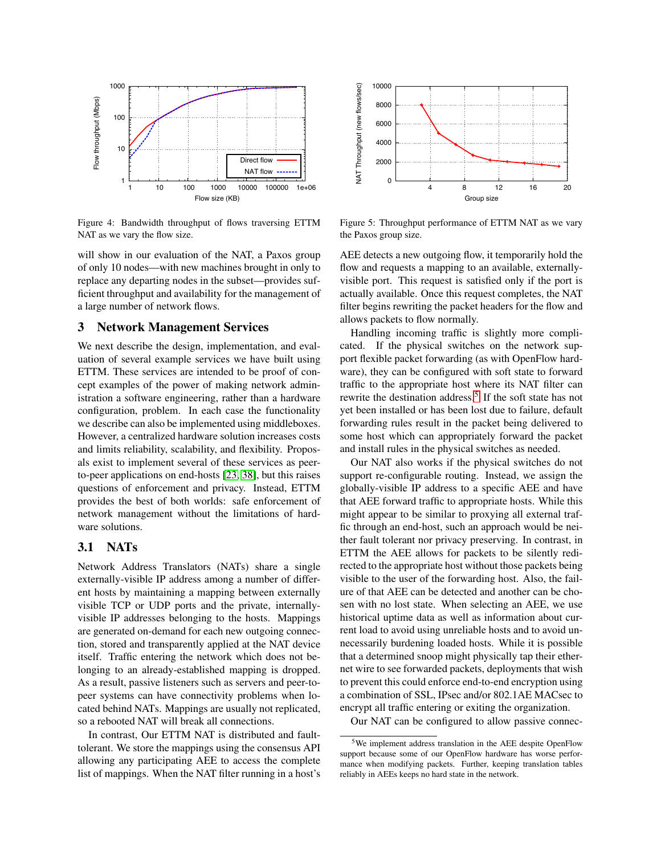

<span id="page-8-2"></span>Figure 4: Bandwidth throughput of flows traversing ETTM NAT as we vary the flow size.

will show in our evaluation of the NAT, a Paxos group of only 10 nodes—with new machines brought in only to replace any departing nodes in the subset—provides sufficient throughput and availability for the management of a large number of network flows.

## <span id="page-8-0"></span>3 Network Management Services

We next describe the design, implementation, and evaluation of several example services we have built using ETTM. These services are intended to be proof of concept examples of the power of making network administration a software engineering, rather than a hardware configuration, problem. In each case the functionality we describe can also be implemented using middleboxes. However, a centralized hardware solution increases costs and limits reliability, scalability, and flexibility. Proposals exist to implement several of these services as peerto-peer applications on end-hosts [\[23,](#page-13-17) [38\]](#page-13-18), but this raises questions of enforcement and privacy. Instead, ETTM provides the best of both worlds: safe enforcement of network management without the limitations of hardware solutions.

# 3.1 NATs

Network Address Translators (NATs) share a single externally-visible IP address among a number of different hosts by maintaining a mapping between externally visible TCP or UDP ports and the private, internallyvisible IP addresses belonging to the hosts. Mappings are generated on-demand for each new outgoing connection, stored and transparently applied at the NAT device itself. Traffic entering the network which does not belonging to an already-established mapping is dropped. As a result, passive listeners such as servers and peer-topeer systems can have connectivity problems when located behind NATs. Mappings are usually not replicated, so a rebooted NAT will break all connections.

In contrast, Our ETTM NAT is distributed and faulttolerant. We store the mappings using the consensus API allowing any participating AEE to access the complete list of mappings. When the NAT filter running in a host's



<span id="page-8-3"></span>Figure 5: Throughput performance of ETTM NAT as we vary the Paxos group size.

AEE detects a new outgoing flow, it temporarily hold the flow and requests a mapping to an available, externallyvisible port. This request is satisfied only if the port is actually available. Once this request completes, the NAT filter begins rewriting the packet headers for the flow and allows packets to flow normally.

Handling incoming traffic is slightly more complicated. If the physical switches on the network support flexible packet forwarding (as with OpenFlow hardware), they can be configured with soft state to forward traffic to the appropriate host where its NAT filter can rewrite the destination address.<sup>[5](#page-8-1)</sup> If the soft state has not yet been installed or has been lost due to failure, default forwarding rules result in the packet being delivered to some host which can appropriately forward the packet and install rules in the physical switches as needed.

Our NAT also works if the physical switches do not support re-configurable routing. Instead, we assign the globally-visible IP address to a specific AEE and have that AEE forward traffic to appropriate hosts. While this might appear to be similar to proxying all external traffic through an end-host, such an approach would be neither fault tolerant nor privacy preserving. In contrast, in ETTM the AEE allows for packets to be silently redirected to the appropriate host without those packets being visible to the user of the forwarding host. Also, the failure of that AEE can be detected and another can be chosen with no lost state. When selecting an AEE, we use historical uptime data as well as information about current load to avoid using unreliable hosts and to avoid unnecessarily burdening loaded hosts. While it is possible that a determined snoop might physically tap their ethernet wire to see forwarded packets, deployments that wish to prevent this could enforce end-to-end encryption using a combination of SSL, IPsec and/or 802.1AE MACsec to encrypt all traffic entering or exiting the organization.

Our NAT can be configured to allow passive connec-

<span id="page-8-1"></span><sup>5</sup>We implement address translation in the AEE despite OpenFlow support because some of our OpenFlow hardware has worse performance when modifying packets. Further, keeping translation tables reliably in AEEs keeps no hard state in the network.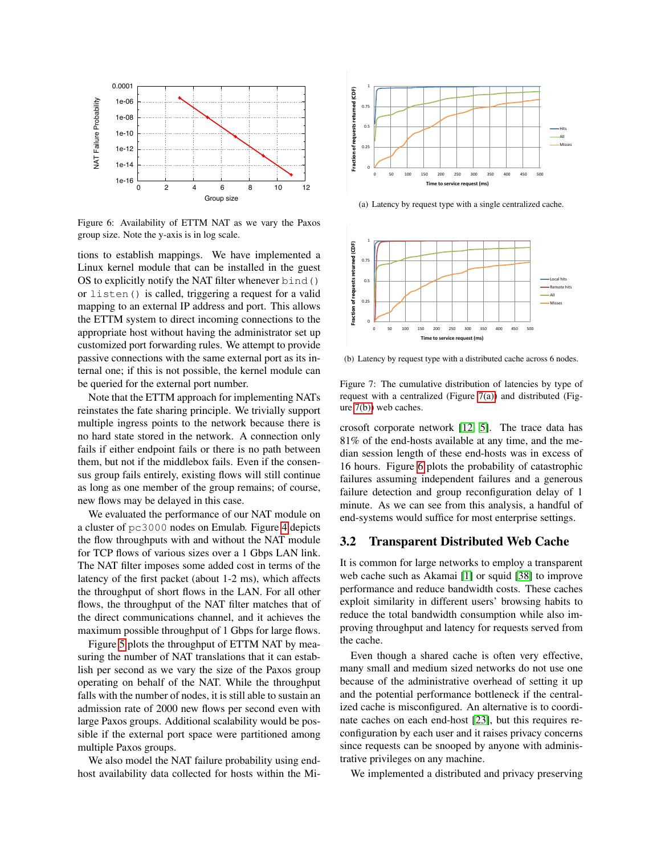

<span id="page-9-2"></span>Figure 6: Availability of ETTM NAT as we vary the Paxos group size. Note the y-axis is in log scale.

tions to establish mappings. We have implemented a Linux kernel module that can be installed in the guest OS to explicitly notify the NAT filter whenever bind() or listen() is called, triggering a request for a valid mapping to an external IP address and port. This allows the ETTM system to direct incoming connections to the appropriate host without having the administrator set up customized port forwarding rules. We attempt to provide passive connections with the same external port as its internal one; if this is not possible, the kernel module can be queried for the external port number.

Note that the ETTM approach for implementing NATs reinstates the fate sharing principle. We trivially support multiple ingress points to the network because there is no hard state stored in the network. A connection only fails if either endpoint fails or there is no path between them, but not if the middlebox fails. Even if the consensus group fails entirely, existing flows will still continue as long as one member of the group remains; of course, new flows may be delayed in this case.

We evaluated the performance of our NAT module on a cluster of pc3000 nodes on Emulab. Figure [4](#page-8-2) depicts the flow throughputs with and without the NAT module for TCP flows of various sizes over a 1 Gbps LAN link. The NAT filter imposes some added cost in terms of the latency of the first packet (about 1-2 ms), which affects the throughput of short flows in the LAN. For all other flows, the throughput of the NAT filter matches that of the direct communications channel, and it achieves the maximum possible throughput of 1 Gbps for large flows.

Figure [5](#page-8-3) plots the throughput of ETTM NAT by measuring the number of NAT translations that it can establish per second as we vary the size of the Paxos group operating on behalf of the NAT. While the throughput falls with the number of nodes, it is still able to sustain an admission rate of 2000 new flows per second even with large Paxos groups. Additional scalability would be possible if the external port space were partitioned among multiple Paxos groups.

We also model the NAT failure probability using endhost availability data collected for hosts within the Mi-

<span id="page-9-0"></span>

(a) Latency by request type with a single centralized cache.



<span id="page-9-1"></span>(b) Latency by request type with a distributed cache across 6 nodes.

<span id="page-9-3"></span>Figure 7: The cumulative distribution of latencies by type of request with a centralized (Figure [7\(a\)\)](#page-9-0) and distributed (Figure [7\(b\)\)](#page-9-1) web caches.

crosoft corporate network [\[12,](#page-13-19) [5\]](#page-13-20). The trace data has 81% of the end-hosts available at any time, and the median session length of these end-hosts was in excess of 16 hours. Figure [6](#page-9-2) plots the probability of catastrophic failures assuming independent failures and a generous failure detection and group reconfiguration delay of 1 minute. As we can see from this analysis, a handful of end-systems would suffice for most enterprise settings.

# 3.2 Transparent Distributed Web Cache

It is common for large networks to employ a transparent web cache such as Akamai [\[1\]](#page-13-21) or squid [\[38\]](#page-13-18) to improve performance and reduce bandwidth costs. These caches exploit similarity in different users' browsing habits to reduce the total bandwidth consumption while also improving throughput and latency for requests served from the cache.

Even though a shared cache is often very effective, many small and medium sized networks do not use one because of the administrative overhead of setting it up and the potential performance bottleneck if the centralized cache is misconfigured. An alternative is to coordinate caches on each end-host [\[23\]](#page-13-17), but this requires reconfiguration by each user and it raises privacy concerns since requests can be snooped by anyone with administrative privileges on any machine.

We implemented a distributed and privacy preserving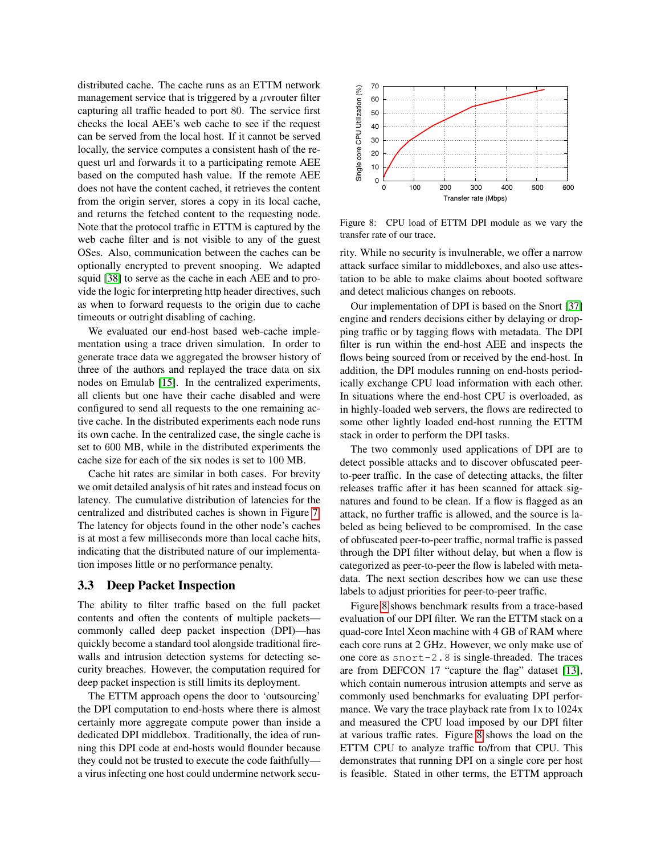distributed cache. The cache runs as an ETTM network management service that is triggered by a  $\mu$ vrouter filter capturing all traffic headed to port 80. The service first checks the local AEE's web cache to see if the request can be served from the local host. If it cannot be served locally, the service computes a consistent hash of the request url and forwards it to a participating remote AEE based on the computed hash value. If the remote AEE does not have the content cached, it retrieves the content from the origin server, stores a copy in its local cache, and returns the fetched content to the requesting node. Note that the protocol traffic in ETTM is captured by the web cache filter and is not visible to any of the guest OSes. Also, communication between the caches can be optionally encrypted to prevent snooping. We adapted squid [\[38\]](#page-13-18) to serve as the cache in each AEE and to provide the logic for interpreting http header directives, such as when to forward requests to the origin due to cache timeouts or outright disabling of caching.

We evaluated our end-host based web-cache implementation using a trace driven simulation. In order to generate trace data we aggregated the browser history of three of the authors and replayed the trace data on six nodes on Emulab [\[15\]](#page-13-16). In the centralized experiments, all clients but one have their cache disabled and were configured to send all requests to the one remaining active cache. In the distributed experiments each node runs its own cache. In the centralized case, the single cache is set to 600 MB, while in the distributed experiments the cache size for each of the six nodes is set to 100 MB.

Cache hit rates are similar in both cases. For brevity we omit detailed analysis of hit rates and instead focus on latency. The cumulative distribution of latencies for the centralized and distributed caches is shown in Figure [7.](#page-9-3) The latency for objects found in the other node's caches is at most a few milliseconds more than local cache hits, indicating that the distributed nature of our implementation imposes little or no performance penalty.

### 3.3 Deep Packet Inspection

The ability to filter traffic based on the full packet contents and often the contents of multiple packets commonly called deep packet inspection (DPI)—has quickly become a standard tool alongside traditional firewalls and intrusion detection systems for detecting security breaches. However, the computation required for deep packet inspection is still limits its deployment.

The ETTM approach opens the door to 'outsourcing' the DPI computation to end-hosts where there is almost certainly more aggregate compute power than inside a dedicated DPI middlebox. Traditionally, the idea of running this DPI code at end-hosts would flounder because they could not be trusted to execute the code faithfully a virus infecting one host could undermine network secu-



<span id="page-10-0"></span>Figure 8: CPU load of ETTM DPI module as we vary the transfer rate of our trace.

rity. While no security is invulnerable, we offer a narrow attack surface similar to middleboxes, and also use attestation to be able to make claims about booted software and detect malicious changes on reboots.

Our implementation of DPI is based on the Snort [\[37\]](#page-13-22) engine and renders decisions either by delaying or dropping traffic or by tagging flows with metadata. The DPI filter is run within the end-host AEE and inspects the flows being sourced from or received by the end-host. In addition, the DPI modules running on end-hosts periodically exchange CPU load information with each other. In situations where the end-host CPU is overloaded, as in highly-loaded web servers, the flows are redirected to some other lightly loaded end-host running the ETTM stack in order to perform the DPI tasks.

The two commonly used applications of DPI are to detect possible attacks and to discover obfuscated peerto-peer traffic. In the case of detecting attacks, the filter releases traffic after it has been scanned for attack signatures and found to be clean. If a flow is flagged as an attack, no further traffic is allowed, and the source is labeled as being believed to be compromised. In the case of obfuscated peer-to-peer traffic, normal traffic is passed through the DPI filter without delay, but when a flow is categorized as peer-to-peer the flow is labeled with metadata. The next section describes how we can use these labels to adjust priorities for peer-to-peer traffic.

Figure [8](#page-10-0) shows benchmark results from a trace-based evaluation of our DPI filter. We ran the ETTM stack on a quad-core Intel Xeon machine with 4 GB of RAM where each core runs at 2 GHz. However, we only make use of one core as  $snort-2.8$  is single-threaded. The traces are from DEFCON 17 "capture the flag" dataset [\[13\]](#page-13-23), which contain numerous intrusion attempts and serve as commonly used benchmarks for evaluating DPI performance. We vary the trace playback rate from 1x to 1024x and measured the CPU load imposed by our DPI filter at various traffic rates. Figure [8](#page-10-0) shows the load on the ETTM CPU to analyze traffic to/from that CPU. This demonstrates that running DPI on a single core per host is feasible. Stated in other terms, the ETTM approach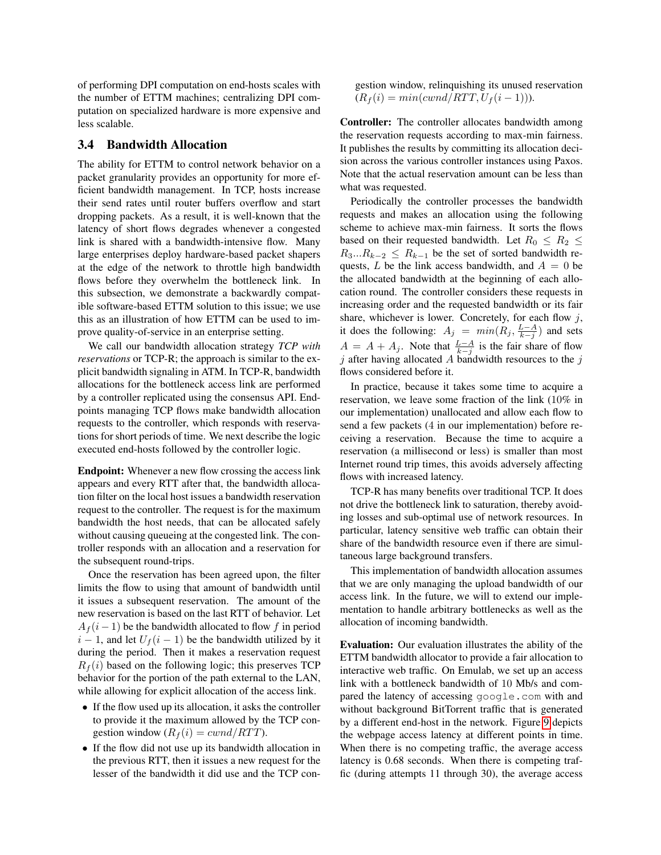of performing DPI computation on end-hosts scales with the number of ETTM machines; centralizing DPI computation on specialized hardware is more expensive and less scalable.

# 3.4 Bandwidth Allocation

The ability for ETTM to control network behavior on a packet granularity provides an opportunity for more efficient bandwidth management. In TCP, hosts increase their send rates until router buffers overflow and start dropping packets. As a result, it is well-known that the latency of short flows degrades whenever a congested link is shared with a bandwidth-intensive flow. Many large enterprises deploy hardware-based packet shapers at the edge of the network to throttle high bandwidth flows before they overwhelm the bottleneck link. In this subsection, we demonstrate a backwardly compatible software-based ETTM solution to this issue; we use this as an illustration of how ETTM can be used to improve quality-of-service in an enterprise setting.

We call our bandwidth allocation strategy *TCP with reservations* or TCP-R; the approach is similar to the explicit bandwidth signaling in ATM. In TCP-R, bandwidth allocations for the bottleneck access link are performed by a controller replicated using the consensus API. Endpoints managing TCP flows make bandwidth allocation requests to the controller, which responds with reservations for short periods of time. We next describe the logic executed end-hosts followed by the controller logic.

Endpoint: Whenever a new flow crossing the access link appears and every RTT after that, the bandwidth allocation filter on the local host issues a bandwidth reservation request to the controller. The request is for the maximum bandwidth the host needs, that can be allocated safely without causing queueing at the congested link. The controller responds with an allocation and a reservation for the subsequent round-trips.

Once the reservation has been agreed upon, the filter limits the flow to using that amount of bandwidth until it issues a subsequent reservation. The amount of the new reservation is based on the last RTT of behavior. Let  $A_f(i-1)$  be the bandwidth allocated to flow f in period  $i - 1$ , and let  $U_f(i - 1)$  be the bandwidth utilized by it during the period. Then it makes a reservation request  $R_f(i)$  based on the following logic; this preserves TCP behavior for the portion of the path external to the LAN, while allowing for explicit allocation of the access link.

- If the flow used up its allocation, it asks the controller to provide it the maximum allowed by the TCP congestion window  $(R_f(i) = \text{cwnd}/RTT)$ .
- If the flow did not use up its bandwidth allocation in the previous RTT, then it issues a new request for the lesser of the bandwidth it did use and the TCP con-

gestion window, relinquishing its unused reservation  $(R_f(i) = min(cwnd/RTT, U_f(i-1))).$ 

Controller: The controller allocates bandwidth among the reservation requests according to max-min fairness. It publishes the results by committing its allocation decision across the various controller instances using Paxos. Note that the actual reservation amount can be less than what was requested.

Periodically the controller processes the bandwidth requests and makes an allocation using the following scheme to achieve max-min fairness. It sorts the flows based on their requested bandwidth. Let  $R_0 \leq R_2 \leq$  $R_3...R_{k-2} \leq R_{k-1}$  be the set of sorted bandwidth requests, L be the link access bandwidth, and  $A = 0$  be the allocated bandwidth at the beginning of each allocation round. The controller considers these requests in increasing order and the requested bandwidth or its fair share, whichever is lower. Concretely, for each flow  $j$ , it does the following:  $A_j = min(R_j, \frac{L-A}{k-j})$  and sets  $A = A + A_j$ . Note that  $\frac{L-A}{k-j}$  is the fair share of flow j after having allocated A bandwidth resources to the j flows considered before it.

In practice, because it takes some time to acquire a reservation, we leave some fraction of the link (10% in our implementation) unallocated and allow each flow to send a few packets (4 in our implementation) before receiving a reservation. Because the time to acquire a reservation (a millisecond or less) is smaller than most Internet round trip times, this avoids adversely affecting flows with increased latency.

TCP-R has many benefits over traditional TCP. It does not drive the bottleneck link to saturation, thereby avoiding losses and sub-optimal use of network resources. In particular, latency sensitive web traffic can obtain their share of the bandwidth resource even if there are simultaneous large background transfers.

This implementation of bandwidth allocation assumes that we are only managing the upload bandwidth of our access link. In the future, we will to extend our implementation to handle arbitrary bottlenecks as well as the allocation of incoming bandwidth.

Evaluation: Our evaluation illustrates the ability of the ETTM bandwidth allocator to provide a fair allocation to interactive web traffic. On Emulab, we set up an access link with a bottleneck bandwidth of 10 Mb/s and compared the latency of accessing google.com with and without background BitTorrent traffic that is generated by a different end-host in the network. Figure [9](#page-12-2) depicts the webpage access latency at different points in time. When there is no competing traffic, the average access latency is 0.68 seconds. When there is competing traffic (during attempts 11 through 30), the average access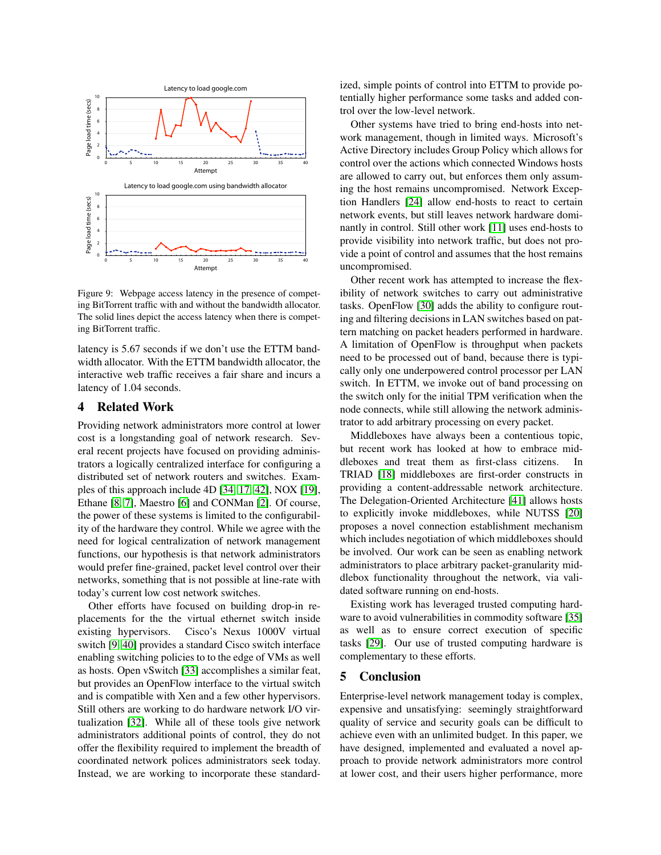

<span id="page-12-2"></span>Figure 9: Webpage access latency in the presence of competing BitTorrent traffic with and without the bandwidth allocator. The solid lines depict the access latency when there is competing BitTorrent traffic.

latency is 5.67 seconds if we don't use the ETTM bandwidth allocator. With the ETTM bandwidth allocator, the interactive web traffic receives a fair share and incurs a latency of 1.04 seconds.

### <span id="page-12-0"></span>4 Related Work

Providing network administrators more control at lower cost is a longstanding goal of network research. Several recent projects have focused on providing administrators a logically centralized interface for configuring a distributed set of network routers and switches. Examples of this approach include 4D [\[34,](#page-13-24) [17,](#page-13-25) [42\]](#page-13-26), NOX [\[19\]](#page-13-27), Ethane [\[8,](#page-13-28) [7\]](#page-13-6), Maestro [\[6\]](#page-13-29) and CONMan [\[2\]](#page-13-30). Of course, the power of these systems is limited to the configurability of the hardware they control. While we agree with the need for logical centralization of network management functions, our hypothesis is that network administrators would prefer fine-grained, packet level control over their networks, something that is not possible at line-rate with today's current low cost network switches.

Other efforts have focused on building drop-in replacements for the the virtual ethernet switch inside existing hypervisors. Cisco's Nexus 1000V virtual switch [\[9,](#page-13-31) [40\]](#page-13-32) provides a standard Cisco switch interface enabling switching policies to to the edge of VMs as well as hosts. Open vSwitch [\[33\]](#page-13-33) accomplishes a similar feat, but provides an OpenFlow interface to the virtual switch and is compatible with Xen and a few other hypervisors. Still others are working to do hardware network I/O virtualization [\[32\]](#page-13-34). While all of these tools give network administrators additional points of control, they do not offer the flexibility required to implement the breadth of coordinated network polices administrators seek today. Instead, we are working to incorporate these standardized, simple points of control into ETTM to provide potentially higher performance some tasks and added control over the low-level network.

Other systems have tried to bring end-hosts into network management, though in limited ways. Microsoft's Active Directory includes Group Policy which allows for control over the actions which connected Windows hosts are allowed to carry out, but enforces them only assuming the host remains uncompromised. Network Exception Handlers [\[24\]](#page-13-35) allow end-hosts to react to certain network events, but still leaves network hardware dominantly in control. Still other work [\[11\]](#page-13-36) uses end-hosts to provide visibility into network traffic, but does not provide a point of control and assumes that the host remains uncompromised.

Other recent work has attempted to increase the flexibility of network switches to carry out administrative tasks. OpenFlow [\[30\]](#page-13-7) adds the ability to configure routing and filtering decisions in LAN switches based on pattern matching on packet headers performed in hardware. A limitation of OpenFlow is throughput when packets need to be processed out of band, because there is typically only one underpowered control processor per LAN switch. In ETTM, we invoke out of band processing on the switch only for the initial TPM verification when the node connects, while still allowing the network administrator to add arbitrary processing on every packet.

Middleboxes have always been a contentious topic, but recent work has looked at how to embrace middleboxes and treat them as first-class citizens. In TRIAD [\[18\]](#page-13-37) middleboxes are first-order constructs in providing a content-addressable network architecture. The Delegation-Oriented Architecture [\[41\]](#page-13-38) allows hosts to explicitly invoke middleboxes, while NUTSS [\[20\]](#page-13-39) proposes a novel connection establishment mechanism which includes negotiation of which middleboxes should be involved. Our work can be seen as enabling network administrators to place arbitrary packet-granularity middlebox functionality throughout the network, via validated software running on end-hosts.

Existing work has leveraged trusted computing hardware to avoid vulnerabilities in commodity software [\[35\]](#page-13-40) as well as to ensure correct execution of specific tasks [\[29\]](#page-13-41). Our use of trusted computing hardware is complementary to these efforts.

# <span id="page-12-1"></span>5 Conclusion

Enterprise-level network management today is complex, expensive and unsatisfying: seemingly straightforward quality of service and security goals can be difficult to achieve even with an unlimited budget. In this paper, we have designed, implemented and evaluated a novel approach to provide network administrators more control at lower cost, and their users higher performance, more